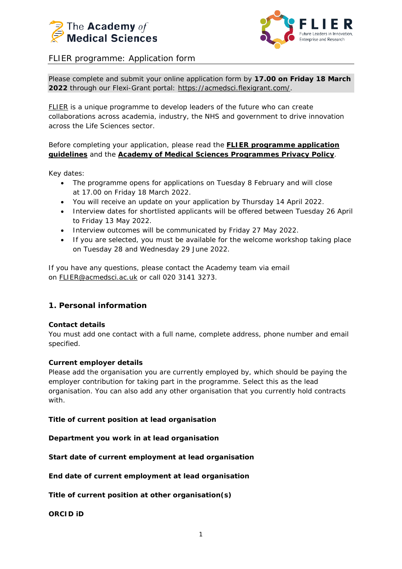



# FLIER programme: Application form

Please complete and submit your online application form by **17.00 on Friday 18 March 2022** through our Flexi-Grant portal: [https://acmedsci.flexigrant.com/.](https://acmedsci.flexigrant.com/)

[FLIER](https://acmedsci.ac.uk/grants-and-schemes/mentoring-and-other-schemes/FLIER) is a unique programme to develop leaders of the future who can create collaborations across academia, industry, the NHS and government to drive innovation across the Life Sciences sector.

Before completing your application, please read the **[FLIER programme application](https://acmedsci.ac.uk/file-download/84542692)  [guidelines](https://acmedsci.ac.uk/file-download/84542692)** and the **[Academy of Medical Sciences](https://acmedsci.ac.uk/file-download/79232845) Programmes Privacy Policy**.

Key dates:

- The programme opens for applications on Tuesday 8 February and will close at 17.00 on Friday 18 March 2022.
- You will receive an update on your application by Thursday 14 April 2022.
- Interview dates for shortlisted applicants will be offered between Tuesday 26 April to Friday 13 May 2022.
- Interview outcomes will be communicated by Friday 27 May 2022.
- If you are selected, you must be available for the welcome workshop taking place on Tuesday 28 and Wednesday 29 June 2022.

If you have any questions, please contact the Academy team via email on [FLIER@acmedsci.ac.uk](mailto:FLIER@acmedsci.ac.uk) or call 020 3141 3273.

# **1. Personal information**

#### **Contact details**

You must add one contact with a full name, complete address, phone number and email specified.

#### **Current employer details**

Please add the organisation you are currently employed by, which should be paying the employer contribution for taking part in the programme. Select this as the lead organisation. You can also add any other organisation that you currently hold contracts with.

#### **Title of current position at lead organisation**

**Department you work in at lead organisation**

**Start date of current employment at lead organisation**

**End date of current employment at lead organisation**

**Title of current position at other organisation(s)**

**ORCID iD**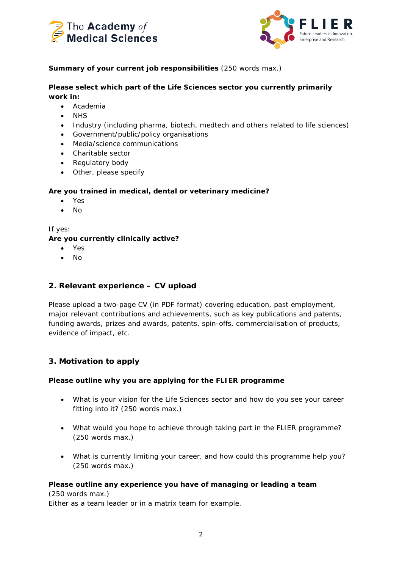



## **Summary of your current job responsibilities** (250 words max.)

### **Please select which part of the Life Sciences sector you currently primarily work in:**

- Academia
- NHS
- Industry (including pharma, biotech, medtech and others related to life sciences)
- Government/public/policy organisations
- Media/science communications
- Charitable sector
- Regulatory body
- Other, please specify

### **Are you trained in medical, dental or veterinary medicine?**

- Yes
- No

*If yes:*

### **Are you currently clinically active?**

- Yes
- No

# **2. Relevant experience – CV upload**

Please upload a two-page CV (in PDF format) covering education, past employment, major relevant contributions and achievements, such as key publications and patents, funding awards, prizes and awards, patents, spin-offs, commercialisation of products, evidence of impact, etc.

# **3. Motivation to apply**

### **Please outline why you are applying for the FLIER programme**

- What is your vision for the Life Sciences sector and how do you see your career fitting into it? (250 words max.)
- What would you hope to achieve through taking part in the FLIER programme? (250 words max.)
- What is currently limiting your career, and how could this programme help you? (250 words max.)

### **Please outline any experience you have of managing or leading a team**

(250 words max.) Either as a team leader or in a matrix team for example.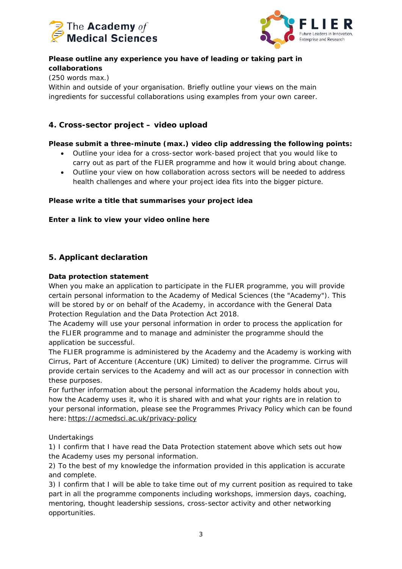



# **Please outline any experience you have of leading or taking part in collaborations**

(250 words max.)

Within and outside of your organisation. Briefly outline your views on the main ingredients for successful collaborations using examples from your own career.

# **4. Cross-sector project – video upload**

## **Please submit a three-minute (max.) video clip addressing the following points:**

- Outline your idea for a cross-sector work-based project that you would like to carry out as part of the FLIER programme and how it would bring about change.
- Outline your view on how collaboration across sectors will be needed to address health challenges and where your project idea fits into the bigger picture.

### **Please write a title that summarises your project idea**

### **Enter a link to view your video online here**

# **5. Applicant declaration**

### **Data protection statement**

When you make an application to participate in the FLIER programme, you will provide certain personal information to the Academy of Medical Sciences (the "Academy"). This will be stored by or on behalf of the Academy, in accordance with the General Data Protection Regulation and the Data Protection Act 2018.

The Academy will use your personal information in order to process the application for the FLIER programme and to manage and administer the programme should the application be successful.

The FLIER programme is administered by the Academy and the Academy is working with Cirrus, Part of Accenture (Accenture (UK) Limited) to deliver the programme. Cirrus will provide certain services to the Academy and will act as our processor in connection with these purposes.

For further information about the personal information the Academy holds about you, how the Academy uses it, who it is shared with and what your rights are in relation to your personal information, please see the Programmes Privacy Policy which can be found here: [https://acmedsci.ac.uk/privacy-policy](https://protect-eu.mimecast.com/s/hWbSCW845U642vU6TjM5?domain=acmedsci.ac.uk)

Undertakings

1) I confirm that I have read the Data Protection statement above which sets out how the Academy uses my personal information.

2) To the best of my knowledge the information provided in this application is accurate and complete.

3) I confirm that I will be able to take time out of my current position as required to take part in all the programme components including workshops, immersion days, coaching, mentoring, thought leadership sessions, cross-sector activity and other networking opportunities.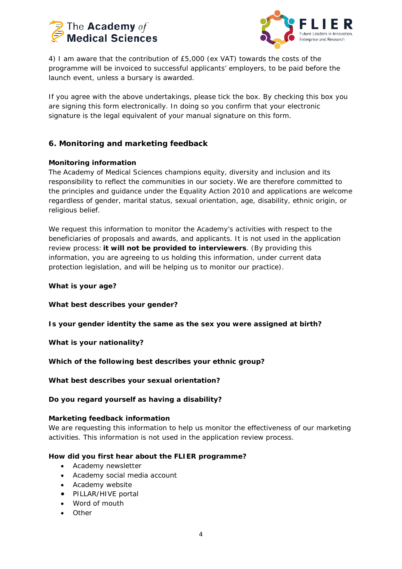



4) I am aware that the contribution of £5,000 (ex VAT) towards the costs of the programme will be invoiced to successful applicants' employers, to be paid before the launch event, unless a bursary is awarded.

If you agree with the above undertakings, please tick the box. By checking this box you are signing this form electronically. In doing so you confirm that your electronic signature is the legal equivalent of your manual signature on this form.

## **6. Monitoring and marketing feedback**

### **Monitoring information**

The Academy of Medical Sciences champions equity, diversity and inclusion and its responsibility to reflect the communities in our society. We are therefore committed to the principles and guidance under the Equality Action 2010 and applications are welcome regardless of gender, marital status, sexual orientation, age, disability, ethnic origin, or religious belief.

We request this information to monitor the Academy's activities with respect to the beneficiaries of proposals and awards, and applicants. It is not used in the application review process: **it will not be provided to interviewers**. (By providing this information, you are agreeing to us holding this information, under current data protection legislation, and will be helping us to monitor our practice).

#### **What is your age?**

**What best describes your gender?**

**Is your gender identity the same as the sex you were assigned at birth?**

**What is your nationality?**

**Which of the following best describes your ethnic group?**

**What best describes your sexual orientation?**

**Do you regard yourself as having a disability?**

#### **Marketing feedback information**

We are requesting this information to help us monitor the effectiveness of our marketing activities. This information is not used in the application review process.

#### **How did you first hear about the FLIER programme?**

- Academy newsletter
- Academy social media account
- Academy website
- PILLAR/HIVE portal
- Word of mouth
- Other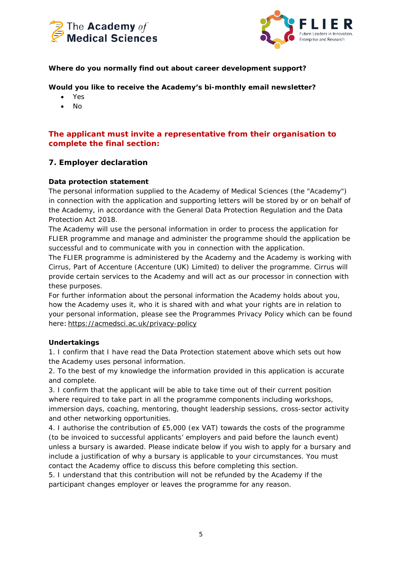



### **Where do you normally find out about career development support?**

**Would you like to receive the Academy's bi-monthly email newsletter?**

- Yes
- No

## **The applicant must invite a representative from their organisation to complete the final section:**

# **7. Employer declaration**

### **Data protection statement**

The personal information supplied to the Academy of Medical Sciences (the "Academy") in connection with the application and supporting letters will be stored by or on behalf of the Academy, in accordance with the General Data Protection Regulation and the Data Protection Act 2018.

The Academy will use the personal information in order to process the application for FLIER programme and manage and administer the programme should the application be successful and to communicate with you in connection with the application.

The FLIER programme is administered by the Academy and the Academy is working with Cirrus, Part of Accenture (Accenture (UK) Limited) to deliver the programme. Cirrus will provide certain services to the Academy and will act as our processor in connection with these purposes.

For further information about the personal information the Academy holds about you, how the Academy uses it, who it is shared with and what your rights are in relation to your personal information, please see the Programmes Privacy Policy which can be found here: [https://acmedsci.ac.uk/privacy-policy](https://protect-eu.mimecast.com/s/hWbSCW845U642vU6TjM5?domain=acmedsci.ac.uk)

#### **Undertakings**

1. I confirm that I have read the Data Protection statement above which sets out how the Academy uses personal information.

2. To the best of my knowledge the information provided in this application is accurate and complete.

3. I confirm that the applicant will be able to take time out of their current position where required to take part in all the programme components including workshops, immersion days, coaching, mentoring, thought leadership sessions, cross-sector activity and other networking opportunities.

4. I authorise the contribution of £5,000 (ex VAT) towards the costs of the programme (to be invoiced to successful applicants' employers and paid before the launch event) unless a bursary is awarded. *Please indicate below if you wish to apply for a bursary and include a justification of why a bursary is applicable to your circumstances. You must contact the Academy office to discuss this before completing this section.*

5. I understand that this contribution will not be refunded by the Academy if the participant changes employer or leaves the programme for any reason.